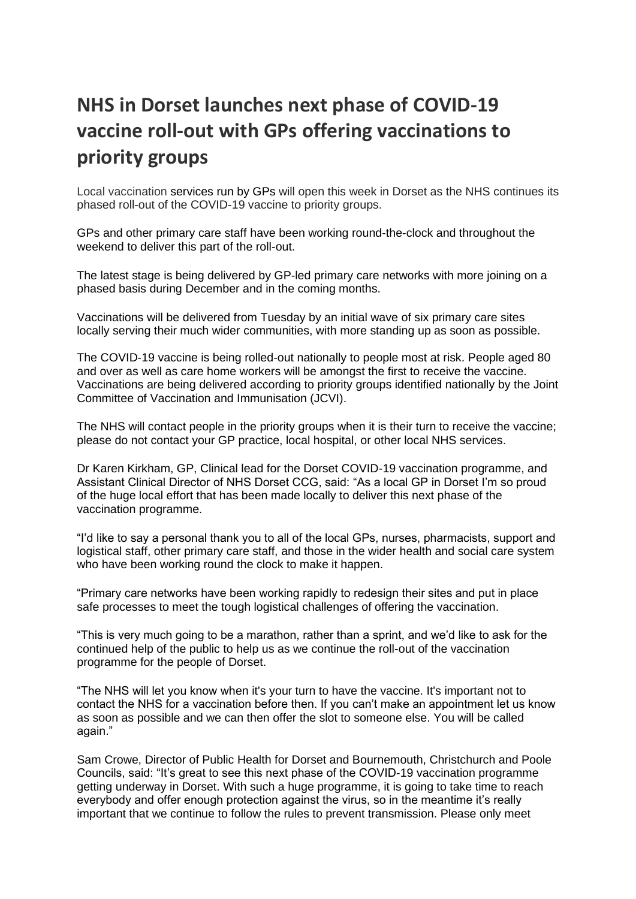## **NHS in Dorset launches next phase of COVID-19 vaccine roll-out with GPs offering vaccinations to priority groups**

Local vaccination services run by GPs will open this week in Dorset as the NHS continues its phased roll-out of the COVID-19 vaccine to priority groups.

GPs and other primary care staff have been working round-the-clock and throughout the weekend to deliver this part of the roll-out.

The latest stage is being delivered by GP-led primary care networks with more joining on a phased basis during December and in the coming months.

Vaccinations will be delivered from Tuesday by an initial wave of six primary care sites locally serving their much wider communities, with more standing up as soon as possible.

The COVID-19 vaccine is being rolled-out nationally to people most at risk. People aged 80 and over as well as care home workers will be amongst the first to receive the vaccine. Vaccinations are being delivered according to priority groups identified nationally by the Joint Committee of Vaccination and Immunisation (JCVI).

The NHS will contact people in the priority groups when it is their turn to receive the vaccine; please do not contact your GP practice, local hospital, or other local NHS services.

Dr Karen Kirkham, GP, Clinical lead for the Dorset COVID-19 vaccination programme, and Assistant Clinical Director of NHS Dorset CCG, said: "As a local GP in Dorset I'm so proud of the huge local effort that has been made locally to deliver this next phase of the vaccination programme.

"I'd like to say a personal thank you to all of the local GPs, nurses, pharmacists, support and logistical staff, other primary care staff, and those in the wider health and social care system who have been working round the clock to make it happen.

"Primary care networks have been working rapidly to redesign their sites and put in place safe processes to meet the tough logistical challenges of offering the vaccination.

"This is very much going to be a marathon, rather than a sprint, and we'd like to ask for the continued help of the public to help us as we continue the roll-out of the vaccination programme for the people of Dorset.

"The NHS will let you know when it's your turn to have the vaccine. It's important not to contact the NHS for a vaccination before then. If you can't make an appointment let us know as soon as possible and we can then offer the slot to someone else. You will be called again."

Sam Crowe, Director of Public Health for Dorset and Bournemouth, Christchurch and Poole Councils, said: "It's great to see this next phase of the COVID-19 vaccination programme getting underway in Dorset. With such a huge programme, it is going to take time to reach everybody and offer enough protection against the virus, so in the meantime it's really important that we continue to follow the rules to prevent transmission. Please only meet